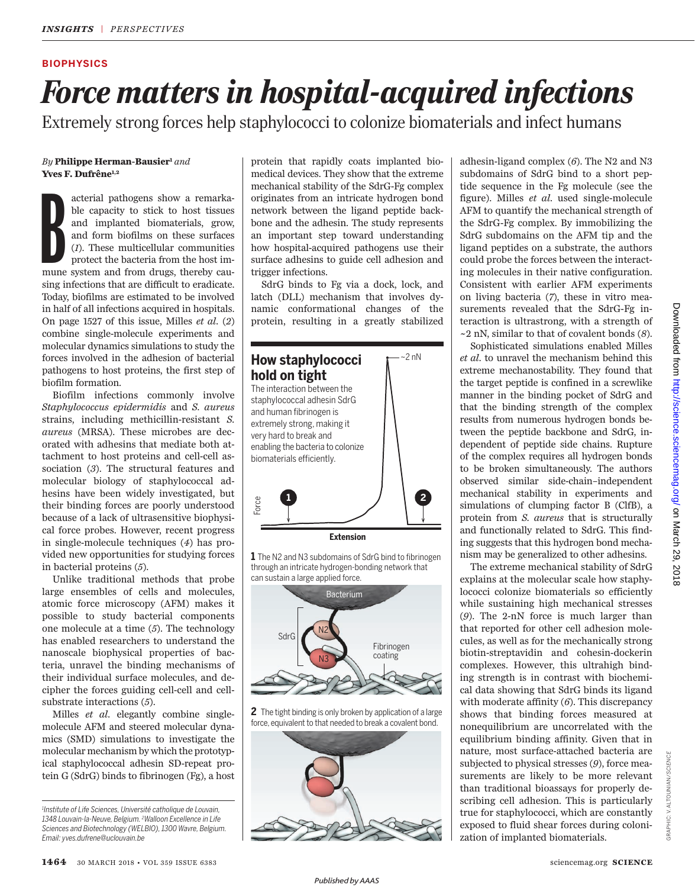### **BIOPHYSICS**

# *Force matters in hospital-acquired infections*

Extremely strong forces help staphylococci to colonize biomaterials and infect humans

#### *By* **Philippe Herman-Bausier<sup>1</sup>** *and* **Yves F. Dufrêne1,2**

acterial pathogens show a remarkable capacity to stick to host tissues<br>and implanted biomaterials, grow,<br>and form biofilms on these surfaces<br>(1). These multicellular communities<br>protect the bacteria from the host im-<br>mune acterial pathogens show a remarkable capacity to stick to host tissues and implanted biomaterials, grow, and form biofilms on these surfaces (*1*). These multicellular communities protect the bacteria from the host imsing infections that are difficult to eradicate. Today, biofilms are estimated to be involved in half of all infections acquired in hospitals. On page 1527 of this issue, Milles *et al.* (*2*) combine single-molecule experiments and molecular dynamics simulations to study the forces involved in the adhesion of bacterial pathogens to host proteins, the first step of biofilm formation.

Biofilm infections commonly involve *Staphylococcus epidermidis* and *S. aureus* strains, including methicillin-resistant *S. aureus* (MRSA). These microbes are decorated with adhesins that mediate both attachment to host proteins and cell-cell association (*3*). The structural features and molecular biology of staphylococcal adhesins have been widely investigated, but their binding forces are poorly understood because of a lack of ultrasensitive biophysical force probes. However, recent progress in single-molecule techniques (*4*) has provided new opportunities for studying forces in bacterial proteins (*5*).

Unlike traditional methods that probe large ensembles of cells and molecules, atomic force microscopy (AFM) makes it possible to study bacterial components one molecule at a time (*5*). The technology has enabled researchers to understand the nanoscale biophysical properties of bacteria, unravel the binding mechanisms of their individual surface molecules, and decipher the forces guiding cell-cell and cellsubstrate interactions (*5*).

Milles *et al.* elegantly combine singlemolecule AFM and steered molecular dynamics (SMD) simulations to investigate the molecular mechanism by which the prototypical staphylococcal adhesin SD-repeat protein G (SdrG) binds to fibrinogen (Fg), a host protein that rapidly coats implanted biomedical devices. They show that the extreme mechanical stability of the SdrG-Fg complex originates from an intricate hydrogen bond network between the ligand peptide backbone and the adhesin. The study represents an important step toward understanding how hospital-acquired pathogens use their surface adhesins to guide cell adhesion and trigger infections.

SdrG binds to Fg via a dock, lock, and latch (DLL) mechanism that involves dynamic conformational changes of the protein, resulting in a greatly stabilized



1 The N2 and N3 subdomains of SdrG bind to fibrinogen through an intricate hydrogen-bonding network that can sustain a large applied force.



**2** The tight binding is only broken by application of a large force, equivalent to that needed to break a covalent bond.



adhesin-ligand complex (*6*). The N2 and N3 subdomains of SdrG bind to a short peptide sequence in the Fg molecule (see the figure). Milles *et al*. used single-molecule AFM to quantify the mechanical strength of the SdrG-Fg complex. By immobilizing the SdrG subdomains on the AFM tip and the ligand peptides on a substrate, the authors could probe the forces between the interacting molecules in their native configuration. Consistent with earlier AFM experiments on living bacteria (*7*), these in vitro measurements revealed that the SdrG-Fg interaction is ultrastrong, with a strength of ~2 nN, similar to that of covalent bonds (*8*).

Sophisticated simulations enabled Milles *et al.* to unravel the mechanism behind this extreme mechanostability. They found that the target peptide is confined in a screwlike manner in the binding pocket of SdrG and that the binding strength of the complex results from numerous hydrogen bonds between the peptide backbone and SdrG, independent of peptide side chains. Rupture of the complex requires all hydrogen bonds to be broken simultaneously. The authors observed similar side-chain–independent mechanical stability in experiments and simulations of clumping factor B (ClfB), a protein from *S. aureus* that is structurally and functionally related to SdrG. This finding suggests that this hydrogen bond mechanism may be generalized to other adhesins.

The extreme mechanical stability of SdrG explains at the molecular scale how staphylococci colonize biomaterials so efficiently while sustaining high mechanical stresses (*9*). The 2-nN force is much larger than that reported for other cell adhesion molecules, as well as for the mechanically strong biotin-streptavidin and cohesin-dockerin complexes. However, this ultrahigh binding strength is in contrast with biochemical data showing that SdrG binds its ligand with moderate affinity (*6*). This discrepancy shows that binding forces measured at nonequilibrium are uncorrelated with the equilibrium binding affinity. Given that in nature, most surface-attached bacteria are subjected to physical stresses (*9*), force measurements are likely to be more relevant than traditional bioassays for properly describing cell adhesion. This is particularly true for staphylococci, which are constantly exposed to fluid shear forces during colonization of implanted biomaterials.

GRAPHIC: V. ALTOUNIAN/*SCIENCE*

GRAPHIC: V. ALTOUNIAN/SC/ENCE

*<sup>1</sup> Institute of Life Sciences, Université catholique de Louvain, 1348 Louvain-la-Neuve, Belgium. <sup>2</sup>Walloon Excellence in Life Sciences and Biotechnology (WELBIO), 1300 Wavre, Belgium. Email: yves.dufrene@uclouvain.be*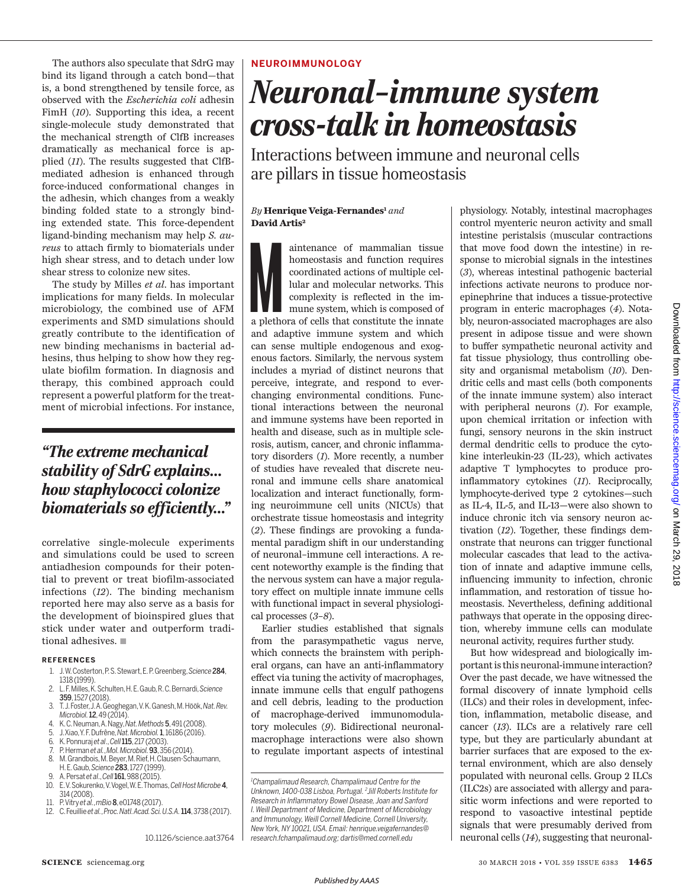The authors also speculate that SdrG may bind its ligand through a catch bond—that is, a bond strengthened by tensile force, as observed with the *Escherichia coli* adhesin FimH (*10*). Supporting this idea, a recent single-molecule study demonstrated that the mechanical strength of ClfB increases dramatically as mechanical force is applied (*11*). The results suggested that ClfBmediated adhesion is enhanced through force-induced conformational changes in the adhesin, which changes from a weakly binding folded state to a strongly binding extended state. This force-dependent ligand-binding mechanism may help *S. aureus* to attach firmly to biomaterials under high shear stress, and to detach under low shear stress to colonize new sites.

The study by Milles *et al*. has important implications for many fields. In molecular microbiology, the combined use of AFM experiments and SMD simulations should greatly contribute to the identification of new binding mechanisms in bacterial adhesins, thus helping to show how they regulate biofilm formation. In diagnosis and therapy, this combined approach could represent a powerful platform for the treatment of microbial infections. For instance,

# *"The extreme mechanical stability of SdrG explains… how staphylococci colonize biomaterials so efficiently…"*

correlative single-molecule experiments and simulations could be used to screen antiadhesion compounds for their potential to prevent or treat biofilm-associated infections (*12*). The binding mechanism reported here may also serve as a basis for the development of bioinspired glues that stick under water and outperform traditional adhesives.  $\blacksquare$ 

#### **REFERENCES**

- 1. J. W. Costerton, P. S. Stewart, E. P. Greenberg, *Science*284, 1318 (1999).
- 2. L. F. Milles, K. Schulten, H. E. Gaub, R. C. Bernardi, *Science* 359, 1527 (2018).
- 3. T. J. Foster, J. A. Geoghegan, V. K. Ganesh, M. Höök, *Nat. Rev. Microbiol.*12, 49 (2014).
- 4. K. C. Neuman, A. Nagy, *Nat. Methods*5, 491 (2008).
- 5. J. Xiao, Y. F. Dufrêne, *Nat. Microbiol.*1, 16186 (2016).
- 6. K. Ponnuraj *et al*., *Cell*115, 217 (2003).
- 7. P. Herman *et al.*, *Mol. Microbiol.* 93, 356 (2014). M. Grandbois, M. Beyer, M. Rief, H. Clausen-Schaumann, H. E. Gaub, *Science* 283, 1727 (1999).
- 9. A. Persat *et al*., *Cell* 161, 988 (2015). 10. E. V. Sokurenko, V. Vogel, W. E. Thomas, *Cell Host Microbe*4,
- 314 (2008). 11. P. Vitry *et al.*, *mBio*8, e01748 (2017).
- 
- 12. C. Feuillie *et al.*, *Proc. Natl. Acad. Sci. U.S.A.*114, 3738 (2017).

10.1126/science.aat3764

### **NEUROIMMUNOLOGY**

# *Neuronal–immune system cross-talk in homeostasis*

Interactions between immune and neuronal cells are pillars in tissue homeostasis

#### *By* **Henrique Veiga-Fernandes<sup>1</sup>** *and* **David Artis<sup>2</sup>**

aintenance of mammalian tissue<br>homeostasis and function requires<br>coordinated actions of multiple cel-<br>lular and molecular networks. This<br>complexity is reflected in the im-<br>mune system, which is composed of<br>a plethora of ce aintenance of mammalian tissue homeostasis and function requires coordinated actions of multiple cellular and molecular networks. This complexity is reflected in the immune system, which is composed of and adaptive immune system and which can sense multiple endogenous and exogenous factors. Similarly, the nervous system includes a myriad of distinct neurons that perceive, integrate, and respond to everchanging environmental conditions. Functional interactions between the neuronal and immune systems have been reported in health and disease, such as in multiple sclerosis, autism, cancer, and chronic inflammatory disorders (*1*). More recently, a number of studies have revealed that discrete neuronal and immune cells share anatomical localization and interact functionally, forming neuroimmune cell units (NICUs) that orchestrate tissue homeostasis and integrity (*2*). These findings are provoking a fundamental paradigm shift in our understanding of neuronal–immune cell interactions. A recent noteworthy example is the finding that the nervous system can have a major regulatory effect on multiple innate immune cells with functional impact in several physiological processes (*3*–*8*).

Earlier studies established that signals from the parasympathetic vagus nerve, which connects the brainstem with peripheral organs, can have an anti-inflammatory effect via tuning the activity of macrophages, innate immune cells that engulf pathogens and cell debris, leading to the production of macrophage-derived immunomodulatory molecules (*9*). Bidirectional neuronalmacrophage interactions were also shown to regulate important aspects of intestinal

physiology. Notably, intestinal macrophages control myenteric neuron activity and small intestine peristalsis (muscular contractions that move food down the intestine) in response to microbial signals in the intestines (*3*), whereas intestinal pathogenic bacterial infections activate neurons to produce norepinephrine that induces a tissue-protective program in enteric macrophages (*4*). Notably, neuron-associated macrophages are also present in adipose tissue and were shown to buffer sympathetic neuronal activity and fat tissue physiology, thus controlling obesity and organismal metabolism (*10*). Dendritic cells and mast cells (both components of the innate immune system) also interact with peripheral neurons (*1*). For example, upon chemical irritation or infection with fungi, sensory neurons in the skin instruct dermal dendritic cells to produce the cytokine interleukin-23 (IL-23), which activates adaptive T lymphocytes to produce proinflammatory cytokines (*11*). Reciprocally, lymphocyte-derived type 2 cytokines—such as IL-4, IL-5, and IL-13—were also shown to induce chronic itch via sensory neuron activation (*12*). Together, these findings demonstrate that neurons can trigger functional molecular cascades that lead to the activation of innate and adaptive immune cells, influencing immunity to infection, chronic inflammation, and restoration of tissue homeostasis. Nevertheless, defining additional pathways that operate in the opposing direction, whereby immune cells can modulate neuronal activity, requires further study.

But how widespread and biologically important is this neuronal-immune interaction? Over the past decade, we have witnessed the formal discovery of innate lymphoid cells (ILCs) and their roles in development, infection, inflammation, metabolic disease, and cancer (*13*). ILCs are a relatively rare cell type, but they are particularly abundant at barrier surfaces that are exposed to the external environment, which are also densely populated with neuronal cells. Group 2 ILCs (ILC2s) are associated with allergy and parasitic worm infections and were reported to respond to vasoactive intestinal peptide signals that were presumably derived from neuronal cells (*14*), suggesting that neuronal-

*<sup>1</sup>Champalimaud Research, Champalimaud Centre for the Unknown, 1400-038 Lisboa, Portugal. <sup>2</sup> Jill Roberts Institute for Research in Inflammatory Bowel Disease, Joan and Sanford I. Weill Department of Medicine, Department of Microbiology and Immunology, Weill Cornell Medicine, Cornell University, New York, NY 10021, USA. Email: henrique.veigafernandes@ research.fchampalimaud.org; dartis@med.cornell.edu*